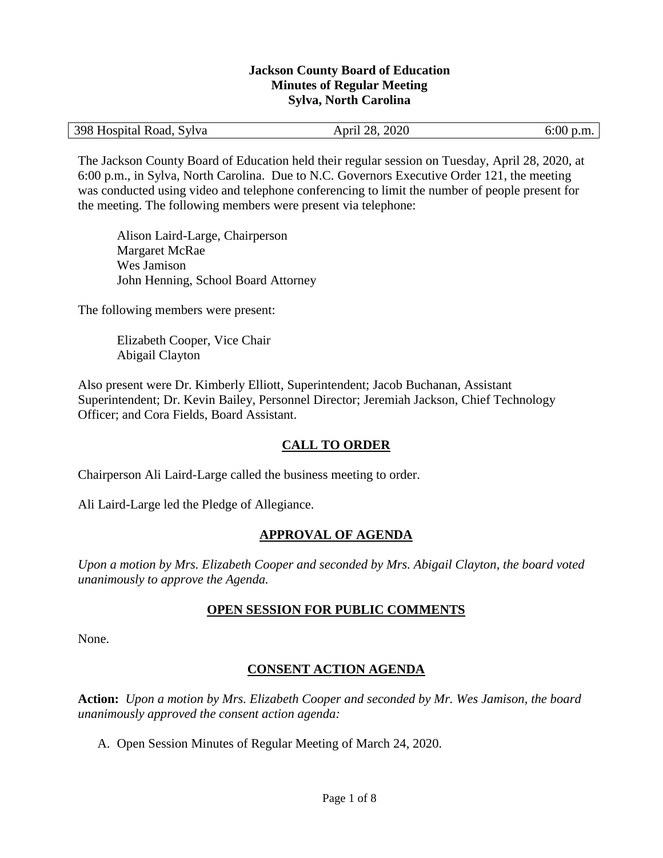#### **Jackson County Board of Education Minutes of Regular Meeting Sylva, North Carolina**

| 398 Hospital Road, Sylva | April 28, 2020 | $6:00$ p.m. |
|--------------------------|----------------|-------------|
|--------------------------|----------------|-------------|

The Jackson County Board of Education held their regular session on Tuesday, April 28, 2020, at 6:00 p.m., in Sylva, North Carolina. Due to N.C. Governors Executive Order 121, the meeting was conducted using video and telephone conferencing to limit the number of people present for the meeting. The following members were present via telephone:

Alison Laird-Large, Chairperson Margaret McRae Wes Jamison John Henning, School Board Attorney

The following members were present:

Elizabeth Cooper, Vice Chair Abigail Clayton

Also present were Dr. Kimberly Elliott, Superintendent; Jacob Buchanan, Assistant Superintendent; Dr. Kevin Bailey, Personnel Director; Jeremiah Jackson, Chief Technology Officer; and Cora Fields, Board Assistant.

## **CALL TO ORDER**

Chairperson Ali Laird-Large called the business meeting to order.

Ali Laird-Large led the Pledge of Allegiance.

### **APPROVAL OF AGENDA**

*Upon a motion by Mrs. Elizabeth Cooper and seconded by Mrs. Abigail Clayton, the board voted unanimously to approve the Agenda.*

### **OPEN SESSION FOR PUBLIC COMMENTS**

None.

### **CONSENT ACTION AGENDA**

**Action:** *Upon a motion by Mrs. Elizabeth Cooper and seconded by Mr. Wes Jamison, the board unanimously approved the consent action agenda:*

A. Open Session Minutes of Regular Meeting of March 24, 2020.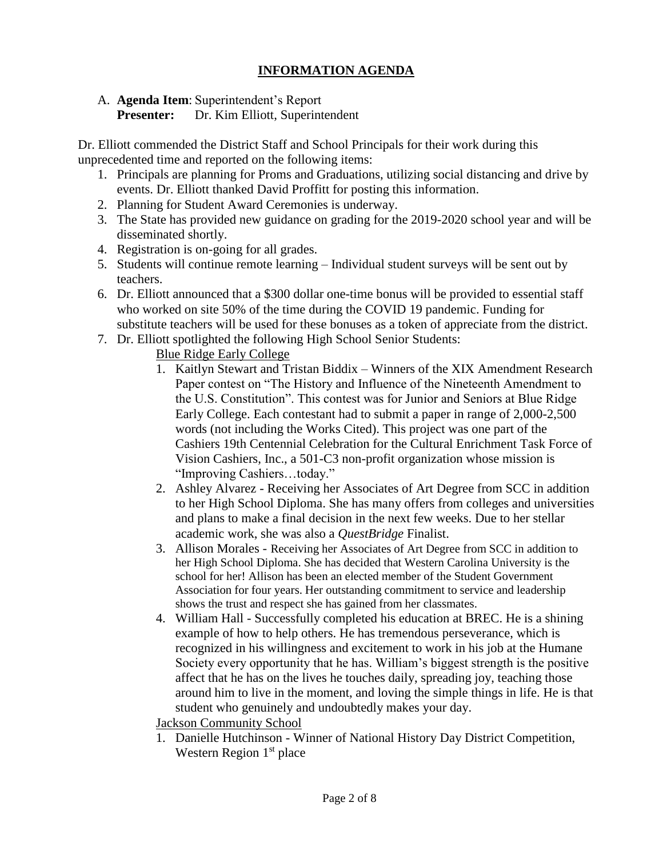### **INFORMATION AGENDA**

A. **Agenda Item**: Superintendent's Report

**Presenter:** Dr. Kim Elliott, Superintendent

Dr. Elliott commended the District Staff and School Principals for their work during this unprecedented time and reported on the following items:

- 1. Principals are planning for Proms and Graduations, utilizing social distancing and drive by events. Dr. Elliott thanked David Proffitt for posting this information.
- 2. Planning for Student Award Ceremonies is underway.
- 3. The State has provided new guidance on grading for the 2019-2020 school year and will be disseminated shortly.
- 4. Registration is on-going for all grades.
- 5. Students will continue remote learning Individual student surveys will be sent out by teachers.
- 6. Dr. Elliott announced that a \$300 dollar one-time bonus will be provided to essential staff who worked on site 50% of the time during the COVID 19 pandemic. Funding for substitute teachers will be used for these bonuses as a token of appreciate from the district.
- 7. Dr. Elliott spotlighted the following High School Senior Students:
	- Blue Ridge Early College
	- 1. Kaitlyn Stewart and Tristan Biddix Winners of the XIX Amendment Research Paper contest on "The History and Influence of the Nineteenth Amendment to the U.S. Constitution". This contest was for Junior and Seniors at Blue Ridge Early College. Each contestant had to submit a paper in range of 2,000-2,500 words (not including the Works Cited). This project was one part of the Cashiers 19th Centennial Celebration for the Cultural Enrichment Task Force of Vision Cashiers, Inc., a 501-C3 non-profit organization whose mission is "Improving Cashiers…today."
	- 2. Ashley Alvarez Receiving her Associates of Art Degree from SCC in addition to her High School Diploma. She has many offers from colleges and universities and plans to make a final decision in the next few weeks. Due to her stellar academic work, she was also a *QuestBridge* Finalist.
	- 3. Allison Morales Receiving her Associates of Art Degree from SCC in addition to her High School Diploma. She has decided that Western Carolina University is the school for her! Allison has been an elected member of the Student Government Association for four years. Her outstanding commitment to service and leadership shows the trust and respect she has gained from her classmates.
	- 4. William Hall Successfully completed his education at BREC. He is a shining example of how to help others. He has tremendous perseverance, which is recognized in his willingness and excitement to work in his job at the Humane Society every opportunity that he has. William's biggest strength is the positive affect that he has on the lives he touches daily, spreading joy, teaching those around him to live in the moment, and loving the simple things in life. He is that student who genuinely and undoubtedly makes your day.

Jackson Community School

1. Danielle Hutchinson - Winner of National History Day District Competition, Western Region  $1<sup>st</sup>$  place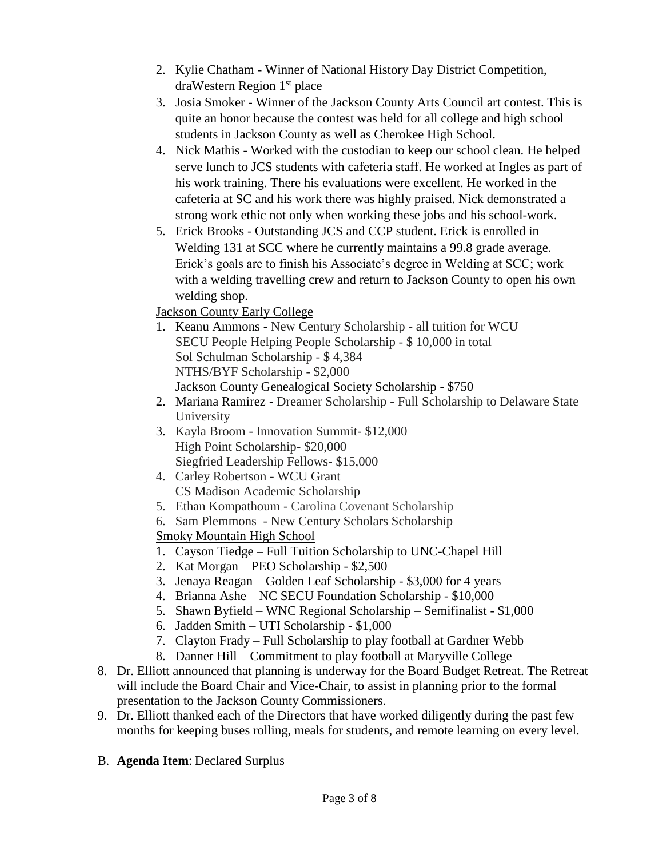- 2. Kylie Chatham Winner of National History Day District Competition, draWestern Region 1st place
- 3. Josia Smoker Winner of the Jackson County Arts Council art contest. This is quite an honor because the contest was held for all college and high school students in Jackson County as well as Cherokee High School.
- 4. Nick Mathis Worked with the custodian to keep our school clean. He helped serve lunch to JCS students with cafeteria staff. He worked at Ingles as part of his work training. There his evaluations were excellent. He worked in the cafeteria at SC and his work there was highly praised. Nick demonstrated a strong work ethic not only when working these jobs and his school-work.
- 5. Erick Brooks Outstanding JCS and CCP student. Erick is enrolled in Welding 131 at SCC where he currently maintains a 99.8 grade average. Erick's goals are to finish his Associate's degree in Welding at SCC; work with a welding travelling crew and return to Jackson County to open his own welding shop.

Jackson County Early College

- 1. Keanu Ammons New Century Scholarship all tuition for WCU SECU People Helping People Scholarship - \$ 10,000 in total Sol Schulman Scholarship - \$ 4,384 NTHS/BYF Scholarship - \$2,000 Jackson County Genealogical Society Scholarship - \$750
- 2. Mariana Ramirez Dreamer Scholarship Full Scholarship to Delaware State University
- 3. Kayla Broom Innovation Summit- \$12,000 High Point Scholarship- \$20,000 Siegfried Leadership Fellows- \$15,000
- 4. Carley Robertson WCU Grant CS Madison Academic Scholarship
- 5. Ethan Kompathoum Carolina Covenant Scholarship
- 6. Sam Plemmons New Century Scholars Scholarship

Smoky Mountain High School

- 1. Cayson Tiedge Full Tuition Scholarship to UNC-Chapel Hill
- 2. Kat Morgan PEO Scholarship \$2,500
- 3. Jenaya Reagan Golden Leaf Scholarship \$3,000 for 4 years
- 4. Brianna Ashe NC SECU Foundation Scholarship \$10,000
- 5. Shawn Byfield WNC Regional Scholarship Semifinalist \$1,000
- 6. Jadden Smith UTI Scholarship \$1,000
- 7. Clayton Frady Full Scholarship to play football at Gardner Webb
- 8. Danner Hill Commitment to play football at Maryville College
- 8. Dr. Elliott announced that planning is underway for the Board Budget Retreat. The Retreat will include the Board Chair and Vice-Chair, to assist in planning prior to the formal presentation to the Jackson County Commissioners.
- 9. Dr. Elliott thanked each of the Directors that have worked diligently during the past few months for keeping buses rolling, meals for students, and remote learning on every level.
- B. **Agenda Item**: Declared Surplus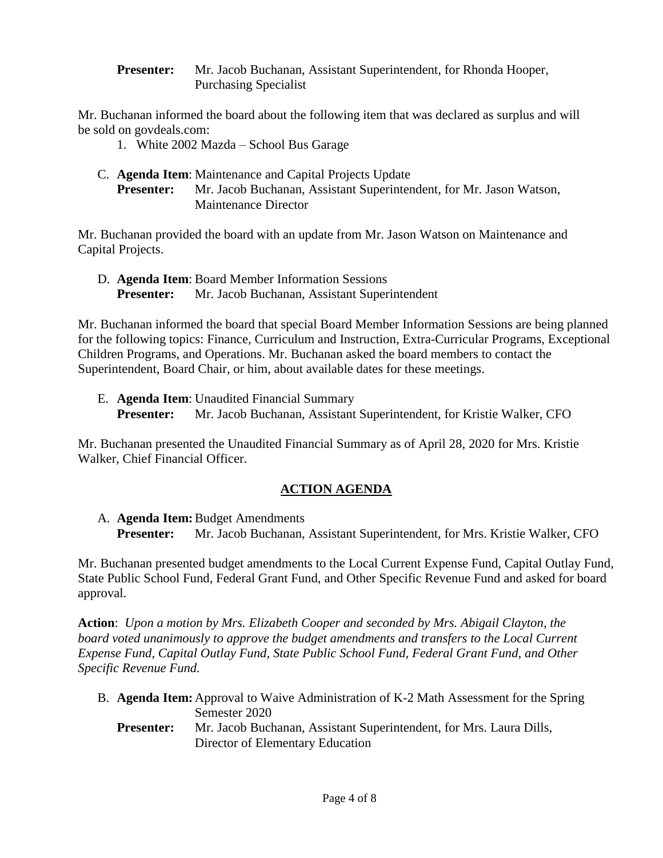**Presenter:** Mr. Jacob Buchanan, Assistant Superintendent, for Rhonda Hooper, Purchasing Specialist

Mr. Buchanan informed the board about the following item that was declared as surplus and will be sold on govdeals.com:

- 1. White 2002 Mazda School Bus Garage
- C. **Agenda Item**: Maintenance and Capital Projects Update **Presenter:** Mr. Jacob Buchanan, Assistant Superintendent, for Mr. Jason Watson, Maintenance Director

Mr. Buchanan provided the board with an update from Mr. Jason Watson on Maintenance and Capital Projects.

D. **Agenda Item**: Board Member Information Sessions **Presenter:** Mr. Jacob Buchanan, Assistant Superintendent

Mr. Buchanan informed the board that special Board Member Information Sessions are being planned for the following topics: Finance, Curriculum and Instruction, Extra-Curricular Programs, Exceptional Children Programs, and Operations. Mr. Buchanan asked the board members to contact the Superintendent, Board Chair, or him, about available dates for these meetings.

E. **Agenda Item**: Unaudited Financial Summary **Presenter:** Mr. Jacob Buchanan, Assistant Superintendent, for Kristie Walker, CFO

Mr. Buchanan presented the Unaudited Financial Summary as of April 28, 2020 for Mrs. Kristie Walker, Chief Financial Officer.

# **ACTION AGENDA**

A. **Agenda Item:**Budget Amendments **Presenter:** Mr. Jacob Buchanan, Assistant Superintendent, for Mrs. Kristie Walker, CFO

Mr. Buchanan presented budget amendments to the Local Current Expense Fund, Capital Outlay Fund, State Public School Fund, Federal Grant Fund, and Other Specific Revenue Fund and asked for board approval.

**Action**: *Upon a motion by Mrs. Elizabeth Cooper and seconded by Mrs. Abigail Clayton, the board voted unanimously to approve the budget amendments and transfers to the Local Current Expense Fund, Capital Outlay Fund, State Public School Fund, Federal Grant Fund, and Other Specific Revenue Fund.*

- B. **Agenda Item:** Approval to Waive Administration of K-2 Math Assessment for the Spring Semester 2020
	- **Presenter:** Mr. Jacob Buchanan, Assistant Superintendent, for Mrs. Laura Dills, Director of Elementary Education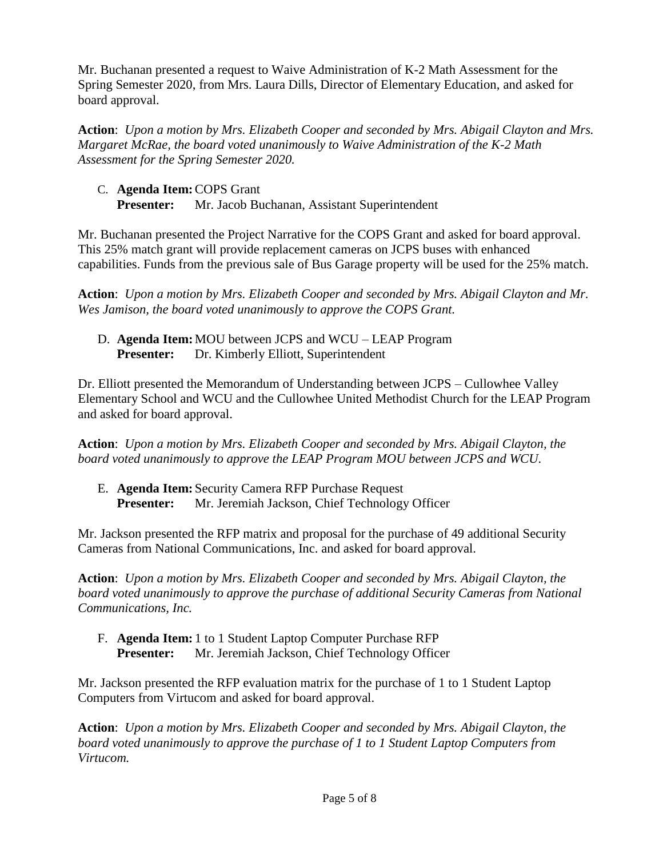Mr. Buchanan presented a request to Waive Administration of K-2 Math Assessment for the Spring Semester 2020, from Mrs. Laura Dills, Director of Elementary Education, and asked for board approval.

**Action**: *Upon a motion by Mrs. Elizabeth Cooper and seconded by Mrs. Abigail Clayton and Mrs. Margaret McRae, the board voted unanimously to Waive Administration of the K-2 Math Assessment for the Spring Semester 2020.*

C. **Agenda Item:**COPS Grant **Presenter:** Mr. Jacob Buchanan, Assistant Superintendent

Mr. Buchanan presented the Project Narrative for the COPS Grant and asked for board approval. This 25% match grant will provide replacement cameras on JCPS buses with enhanced capabilities. Funds from the previous sale of Bus Garage property will be used for the 25% match.

**Action**: *Upon a motion by Mrs. Elizabeth Cooper and seconded by Mrs. Abigail Clayton and Mr. Wes Jamison, the board voted unanimously to approve the COPS Grant.*

D. **Agenda Item:**MOU between JCPS and WCU – LEAP Program **Presenter:** Dr. Kimberly Elliott, Superintendent

Dr. Elliott presented the Memorandum of Understanding between JCPS – Cullowhee Valley Elementary School and WCU and the Cullowhee United Methodist Church for the LEAP Program and asked for board approval.

**Action**: *Upon a motion by Mrs. Elizabeth Cooper and seconded by Mrs. Abigail Clayton, the board voted unanimously to approve the LEAP Program MOU between JCPS and WCU.*

E. **Agenda Item:** Security Camera RFP Purchase Request **Presenter:** Mr. Jeremiah Jackson, Chief Technology Officer

Mr. Jackson presented the RFP matrix and proposal for the purchase of 49 additional Security Cameras from National Communications, Inc. and asked for board approval.

**Action**: *Upon a motion by Mrs. Elizabeth Cooper and seconded by Mrs. Abigail Clayton, the board voted unanimously to approve the purchase of additional Security Cameras from National Communications, Inc.*

F. **Agenda Item:** 1 to 1 Student Laptop Computer Purchase RFP **Presenter:** Mr. Jeremiah Jackson, Chief Technology Officer

Mr. Jackson presented the RFP evaluation matrix for the purchase of 1 to 1 Student Laptop Computers from Virtucom and asked for board approval.

**Action**: *Upon a motion by Mrs. Elizabeth Cooper and seconded by Mrs. Abigail Clayton, the board voted unanimously to approve the purchase of 1 to 1 Student Laptop Computers from Virtucom.*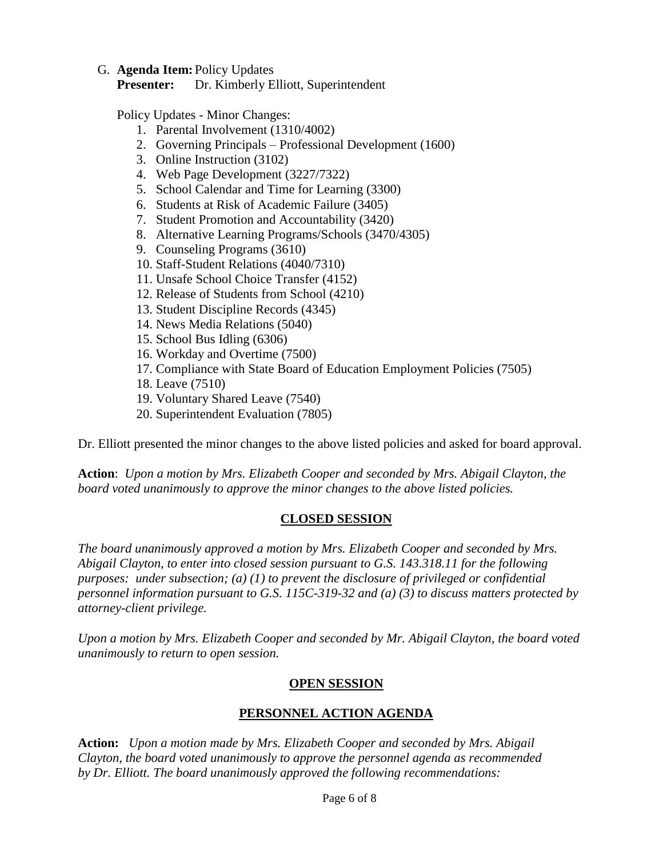#### G. **Agenda Item:** Policy Updates

**Presenter:** Dr. Kimberly Elliott, Superintendent

Policy Updates - Minor Changes:

- 1. Parental Involvement (1310/4002)
- 2. Governing Principals Professional Development (1600)
- 3. Online Instruction (3102)
- 4. Web Page Development (3227/7322)
- 5. School Calendar and Time for Learning (3300)
- 6. Students at Risk of Academic Failure (3405)
- 7. Student Promotion and Accountability (3420)
- 8. Alternative Learning Programs/Schools (3470/4305)
- 9. Counseling Programs (3610)
- 10. Staff-Student Relations (4040/7310)
- 11. Unsafe School Choice Transfer (4152)
- 12. Release of Students from School (4210)
- 13. Student Discipline Records (4345)
- 14. News Media Relations (5040)
- 15. School Bus Idling (6306)
- 16. Workday and Overtime (7500)
- 17. Compliance with State Board of Education Employment Policies (7505)
- 18. Leave (7510)
- 19. Voluntary Shared Leave (7540)
- 20. Superintendent Evaluation (7805)

Dr. Elliott presented the minor changes to the above listed policies and asked for board approval.

**Action**: *Upon a motion by Mrs. Elizabeth Cooper and seconded by Mrs. Abigail Clayton, the board voted unanimously to approve the minor changes to the above listed policies.*

## **CLOSED SESSION**

*The board unanimously approved a motion by Mrs. Elizabeth Cooper and seconded by Mrs. Abigail Clayton, to enter into closed session pursuant to G.S. 143.318.11 for the following purposes: under subsection; (a) (1) to prevent the disclosure of privileged or confidential personnel information pursuant to G.S. 115C-319-32 and (a) (3) to discuss matters protected by attorney-client privilege.* 

*Upon a motion by Mrs. Elizabeth Cooper and seconded by Mr. Abigail Clayton, the board voted unanimously to return to open session.*

## **OPEN SESSION**

## **PERSONNEL ACTION AGENDA**

**Action:** *Upon a motion made by Mrs. Elizabeth Cooper and seconded by Mrs. Abigail Clayton, the board voted unanimously to approve the personnel agenda as recommended by Dr. Elliott. The board unanimously approved the following recommendations:*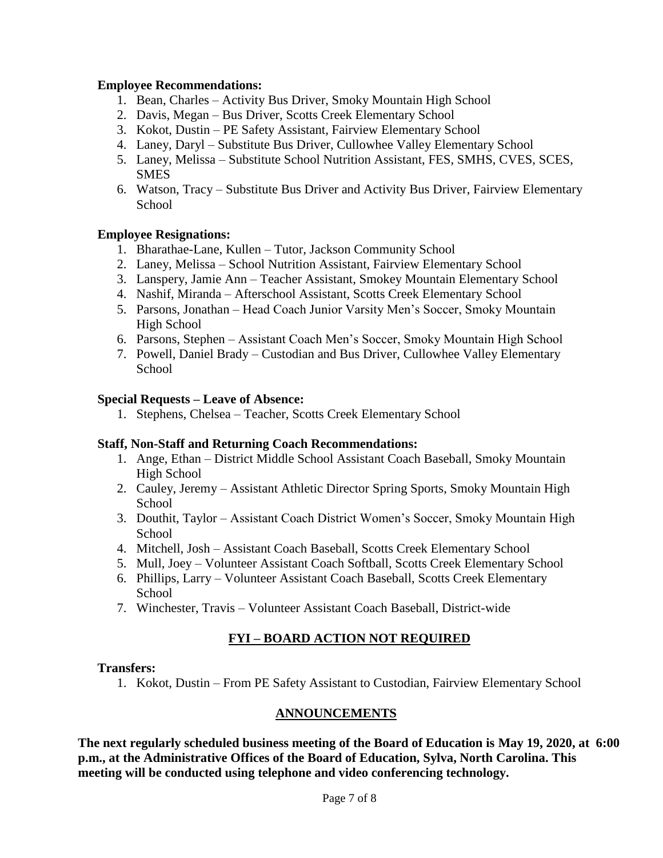#### **Employee Recommendations:**

- 1. Bean, Charles Activity Bus Driver, Smoky Mountain High School
- 2. Davis, Megan Bus Driver, Scotts Creek Elementary School
- 3. Kokot, Dustin PE Safety Assistant, Fairview Elementary School
- 4. Laney, Daryl Substitute Bus Driver, Cullowhee Valley Elementary School
- 5. Laney, Melissa Substitute School Nutrition Assistant, FES, SMHS, CVES, SCES, SMES
- 6. Watson, Tracy Substitute Bus Driver and Activity Bus Driver, Fairview Elementary **School**

### **Employee Resignations:**

- 1. Bharathae-Lane, Kullen Tutor, Jackson Community School
- 2. Laney, Melissa School Nutrition Assistant, Fairview Elementary School
- 3. Lanspery, Jamie Ann Teacher Assistant, Smokey Mountain Elementary School
- 4. Nashif, Miranda Afterschool Assistant, Scotts Creek Elementary School
- 5. Parsons, Jonathan Head Coach Junior Varsity Men's Soccer, Smoky Mountain High School
- 6. Parsons, Stephen Assistant Coach Men's Soccer, Smoky Mountain High School
- 7. Powell, Daniel Brady Custodian and Bus Driver, Cullowhee Valley Elementary **School**

#### **Special Requests – Leave of Absence:**

1. Stephens, Chelsea – Teacher, Scotts Creek Elementary School

### **Staff, Non-Staff and Returning Coach Recommendations:**

- 1. Ange, Ethan District Middle School Assistant Coach Baseball, Smoky Mountain High School
- 2. Cauley, Jeremy Assistant Athletic Director Spring Sports, Smoky Mountain High School
- 3. Douthit, Taylor Assistant Coach District Women's Soccer, Smoky Mountain High **School**
- 4. Mitchell, Josh Assistant Coach Baseball, Scotts Creek Elementary School
- 5. Mull, Joey Volunteer Assistant Coach Softball, Scotts Creek Elementary School
- 6. Phillips, Larry Volunteer Assistant Coach Baseball, Scotts Creek Elementary **School**
- 7. Winchester, Travis Volunteer Assistant Coach Baseball, District-wide

### **FYI – BOARD ACTION NOT REQUIRED**

#### **Transfers:**

1. Kokot, Dustin – From PE Safety Assistant to Custodian, Fairview Elementary School

### **ANNOUNCEMENTS**

**The next regularly scheduled business meeting of the Board of Education is May 19, 2020, at 6:00 p.m., at the Administrative Offices of the Board of Education, Sylva, North Carolina. This meeting will be conducted using telephone and video conferencing technology.**